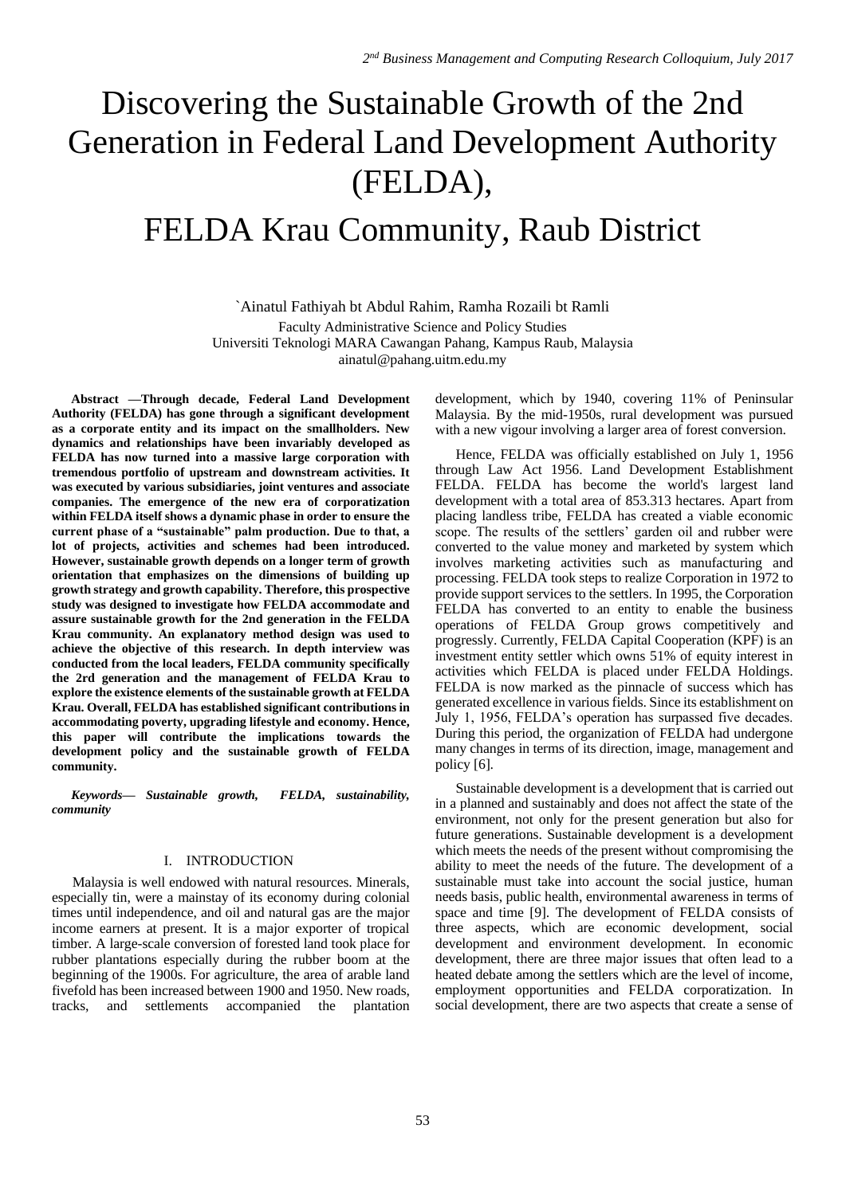# Discovering the Sustainable Growth of the 2nd Generation in Federal Land Development Authority (FELDA),

# FELDA Krau Community, Raub District

`Ainatul Fathiyah bt Abdul Rahim, Ramha Rozaili bt Ramli Faculty Administrative Science and Policy Studies Universiti Teknologi MARA Cawangan Pahang, Kampus Raub, Malaysia ainatul@pahang.uitm.edu.my

**Abstract —Through decade, Federal Land Development Authority (FELDA) has gone through a significant development as a corporate entity and its impact on the smallholders. New dynamics and relationships have been invariably developed as FELDA has now turned into a massive large corporation with tremendous portfolio of upstream and downstream activities. It was executed by various subsidiaries, joint ventures and associate companies. The emergence of the new era of corporatization within FELDA itself shows a dynamic phase in order to ensure the current phase of a "sustainable" palm production. Due to that, a lot of projects, activities and schemes had been introduced. However, sustainable growth depends on a longer term of growth orientation that emphasizes on the dimensions of building up growth strategy and growth capability. Therefore, this prospective study was designed to investigate how FELDA accommodate and assure sustainable growth for the 2nd generation in the FELDA Krau community. An explanatory method design was used to achieve the objective of this research. In depth interview was conducted from the local leaders, FELDA community specifically the 2rd generation and the management of FELDA Krau to explore the existence elements of the sustainable growth at FELDA Krau. Overall, FELDA has established significant contributions in accommodating poverty, upgrading lifestyle and economy. Hence, this paper will contribute the implications towards the development policy and the sustainable growth of FELDA community.**

*Keywords— Sustainable growth, FELDA, sustainability, community*

## I. INTRODUCTION

Malaysia is well endowed with natural resources. Minerals, especially tin, were a mainstay of its economy during colonial times until independence, and oil and natural gas are the major income earners at present. It is a major exporter of tropical timber. A large-scale conversion of forested land took place for rubber plantations especially during the rubber boom at the beginning of the 1900s. For agriculture, the area of arable land fivefold has been increased between 1900 and 1950. New roads, tracks, and settlements accompanied the plantation development, which by 1940, covering 11% of Peninsular Malaysia. By the mid-1950s, rural development was pursued with a new vigour involving a larger area of forest conversion.

Hence, FELDA was officially established on July 1, 1956 through Law Act 1956. Land Development Establishment FELDA. FELDA has become the world's largest land development with a total area of 853.313 hectares. Apart from placing landless tribe, FELDA has created a viable economic scope. The results of the settlers' garden oil and rubber were converted to the value money and marketed by system which involves marketing activities such as manufacturing and processing. FELDA took steps to realize Corporation in 1972 to provide support services to the settlers. In 1995, the Corporation FELDA has converted to an entity to enable the business operations of FELDA Group grows competitively and progressly. Currently, FELDA Capital Cooperation (KPF) is an investment entity settler which owns 51% of equity interest in activities which FELDA is placed under FELDA Holdings. FELDA is now marked as the pinnacle of success which has generated excellence in various fields. Since its establishment on July 1, 1956, FELDA's operation has surpassed five decades. During this period, the organization of FELDA had undergone many changes in terms of its direction, image, management and policy [6].

Sustainable development is a development that is carried out in a planned and sustainably and does not affect the state of the environment, not only for the present generation but also for future generations. Sustainable development is a development which meets the needs of the present without compromising the ability to meet the needs of the future. The development of a sustainable must take into account the social justice, human needs basis, public health, environmental awareness in terms of space and time [9]. The development of FELDA consists of three aspects, which are economic development, social development and environment development. In economic development, there are three major issues that often lead to a heated debate among the settlers which are the level of income, employment opportunities and FELDA corporatization. In social development, there are two aspects that create a sense of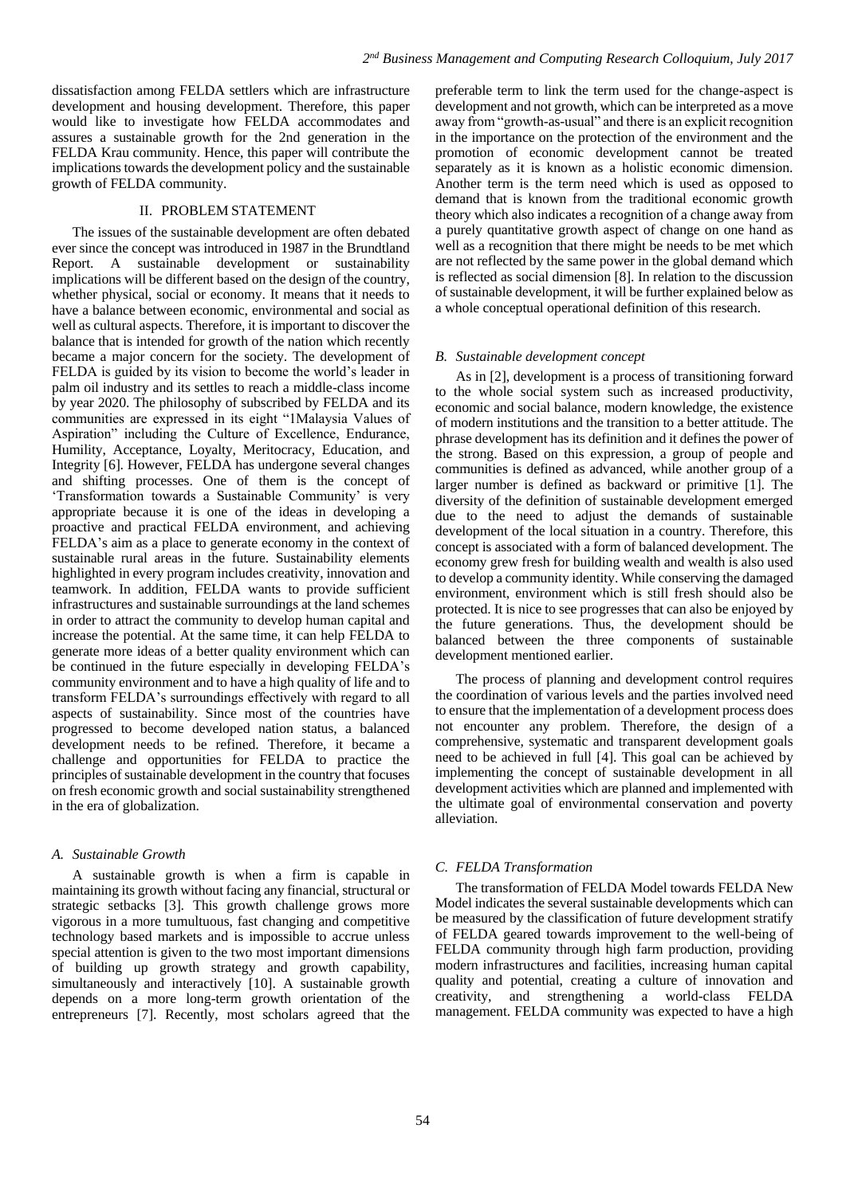dissatisfaction among FELDA settlers which are infrastructure development and housing development. Therefore, this paper would like to investigate how FELDA accommodates and assures a sustainable growth for the 2nd generation in the FELDA Krau community. Hence, this paper will contribute the implications towards the development policy and the sustainable growth of FELDA community.

# II. PROBLEM STATEMENT

The issues of the sustainable development are often debated ever since the concept was introduced in 1987 in the Brundtland<br>Report. A sustainable development or sustainability Report. A sustainable development or sustainability implications will be different based on the design of the country, whether physical, social or economy. It means that it needs to have a balance between economic, environmental and social as well as cultural aspects. Therefore, it is important to discover the balance that is intended for growth of the nation which recently became a major concern for the society. The development of FELDA is guided by its vision to become the world's leader in palm oil industry and its settles to reach a middle-class income by year 2020. The philosophy of subscribed by FELDA and its communities are expressed in its eight "1Malaysia Values of Aspiration" including the Culture of Excellence, Endurance, Humility, Acceptance, Loyalty, Meritocracy, Education, and Integrity [6]. However, FELDA has undergone several changes and shifting processes. One of them is the concept of 'Transformation towards a Sustainable Community' is very appropriate because it is one of the ideas in developing a proactive and practical FELDA environment, and achieving FELDA's aim as a place to generate economy in the context of sustainable rural areas in the future. Sustainability elements highlighted in every program includes creativity, innovation and teamwork. In addition, FELDA wants to provide sufficient infrastructures and sustainable surroundings at the land schemes in order to attract the community to develop human capital and increase the potential. At the same time, it can help FELDA to generate more ideas of a better quality environment which can be continued in the future especially in developing FELDA's community environment and to have a high quality of life and to transform FELDA's surroundings effectively with regard to all aspects of sustainability. Since most of the countries have progressed to become developed nation status, a balanced development needs to be refined. Therefore, it became a challenge and opportunities for FELDA to practice the principles of sustainable development in the country that focuses on fresh economic growth and social sustainability strengthened in the era of globalization.

#### *A. Sustainable Growth*

A sustainable growth is when a firm is capable in maintaining its growth without facing any financial, structural or strategic setbacks [3]. This growth challenge grows more vigorous in a more tumultuous, fast changing and competitive technology based markets and is impossible to accrue unless special attention is given to the two most important dimensions of building up growth strategy and growth capability, simultaneously and interactively [10]. A sustainable growth depends on a more long-term growth orientation of the entrepreneurs [7]. Recently, most scholars agreed that the preferable term to link the term used for the change-aspect is development and not growth, which can be interpreted as a move away from "growth-as-usual" and there is an explicit recognition in the importance on the protection of the environment and the promotion of economic development cannot be treated separately as it is known as a holistic economic dimension. Another term is the term need which is used as opposed to demand that is known from the traditional economic growth theory which also indicates a recognition of a change away from a purely quantitative growth aspect of change on one hand as well as a recognition that there might be needs to be met which are not reflected by the same power in the global demand which is reflected as social dimension [8]. In relation to the discussion of sustainable development, it will be further explained below as a whole conceptual operational definition of this research.

#### *B. Sustainable development concept*

As in [2], development is a process of transitioning forward to the whole social system such as increased productivity, economic and social balance, modern knowledge, the existence of modern institutions and the transition to a better attitude. The phrase development has its definition and it defines the power of the strong. Based on this expression, a group of people and communities is defined as advanced, while another group of a larger number is defined as backward or primitive [1]. The diversity of the definition of sustainable development emerged due to the need to adjust the demands of sustainable development of the local situation in a country. Therefore, this concept is associated with a form of balanced development. The economy grew fresh for building wealth and wealth is also used to develop a community identity. While conserving the damaged environment, environment which is still fresh should also be protected. It is nice to see progresses that can also be enjoyed by the future generations. Thus, the development should be balanced between the three components of sustainable development mentioned earlier.

The process of planning and development control requires the coordination of various levels and the parties involved need to ensure that the implementation of a development process does not encounter any problem. Therefore, the design of a comprehensive, systematic and transparent development goals need to be achieved in full [4]. This goal can be achieved by implementing the concept of sustainable development in all development activities which are planned and implemented with the ultimate goal of environmental conservation and poverty alleviation.

#### *C. FELDA Transformation*

The transformation of FELDA Model towards FELDA New Model indicates the several sustainable developments which can be measured by the classification of future development stratify of FELDA geared towards improvement to the well-being of FELDA community through high farm production, providing modern infrastructures and facilities, increasing human capital quality and potential, creating a culture of innovation and creativity, and strengthening a world-class FELDA management. FELDA community was expected to have a high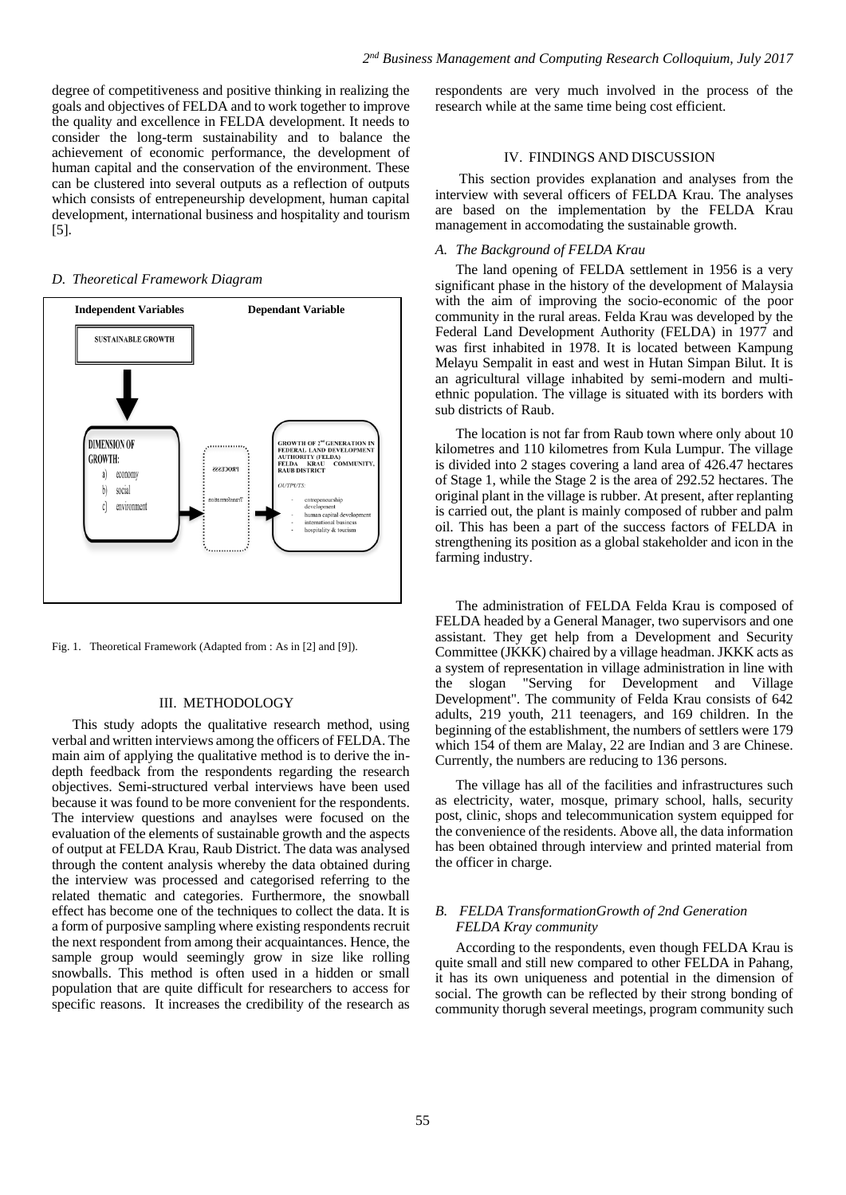degree of competitiveness and positive thinking in realizing the goals and objectives of FELDA and to work together to improve the quality and excellence in FELDA development. It needs to consider the long-term sustainability and to balance the achievement of economic performance, the development of human capital and the conservation of the environment. These can be clustered into several outputs as a reflection of outputs which consists of entrepeneurship development, human capital development, international business and hospitality and tourism [5].

# *D. Theoretical Framework Diagram*



Fig. 1. Theoretical Framework (Adapted from : As in [2] and [9]).

#### III. METHODOLOGY

This study adopts the qualitative research method, using verbal and written interviews among the officers of FELDA. The main aim of applying the qualitative method is to derive the indepth feedback from the respondents regarding the research objectives. Semi-structured verbal interviews have been used because it was found to be more convenient for the respondents. The interview questions and anaylses were focused on the evaluation of the elements of sustainable growth and the aspects of output at FELDA Krau, Raub District. The data was analysed through the content analysis whereby the data obtained during the interview was processed and categorised referring to the related thematic and categories. Furthermore, the snowball effect has become one of the techniques to collect the data. It is a form of purposive sampling where existing respondents recruit the next respondent from among their acquaintances. Hence, the sample group would seemingly grow in size like rolling snowballs. This method is often used in a hidden or small population that are quite difficult for researchers to access for specific reasons. It increases the credibility of the research as

respondents are very much involved in the process of the research while at the same time being cost efficient.

#### IV. FINDINGS AND DISCUSSION

This section provides explanation and analyses from the interview with several officers of FELDA Krau. The analyses are based on the implementation by the FELDA Krau management in accomodating the sustainable growth.

#### *A. The Background of FELDA Krau*

The land opening of FELDA settlement in 1956 is a very significant phase in the history of the development of Malaysia with the aim of improving the socio-economic of the poor community in the rural areas. Felda Krau was developed by the Federal Land Development Authority (FELDA) in 1977 and was first inhabited in 1978. It is located between Kampung Melayu Sempalit in east and west in Hutan Simpan Bilut. It is an agricultural village inhabited by semi-modern and multiethnic population. The village is situated with its borders with sub districts of Raub.

The location is not far from Raub town where only about 10 kilometres and 110 kilometres from Kula Lumpur. The village is divided into 2 stages covering a land area of 426.47 hectares of Stage 1, while the Stage 2 is the area of 292.52 hectares. The original plant in the village is rubber. At present, after replanting is carried out, the plant is mainly composed of rubber and palm oil. This has been a part of the success factors of FELDA in strengthening its position as a global stakeholder and icon in the farming industry.

The administration of FELDA Felda Krau is composed of FELDA headed by a General Manager, two supervisors and one assistant. They get help from a Development and Security Committee (JKKK) chaired by a village headman. JKKK acts as a system of representation in village administration in line with the slogan "Serving for Development and Village Development". The community of Felda Krau consists of 642 adults, 219 youth, 211 teenagers, and 169 children. In the beginning of the establishment, the numbers of settlers were 179 which 154 of them are Malay, 22 are Indian and 3 are Chinese. Currently, the numbers are reducing to 136 persons.

The village has all of the facilities and infrastructures such as electricity, water, mosque, primary school, halls, security post, clinic, shops and telecommunication system equipped for the convenience of the residents. Above all, the data information has been obtained through interview and printed material from the officer in charge.

## *B. FELDA TransformationGrowth of 2nd Generation FELDA Kray community*

According to the respondents, even though FELDA Krau is quite small and still new compared to other FELDA in Pahang, it has its own uniqueness and potential in the dimension of social. The growth can be reflected by their strong bonding of community thorugh several meetings, program community such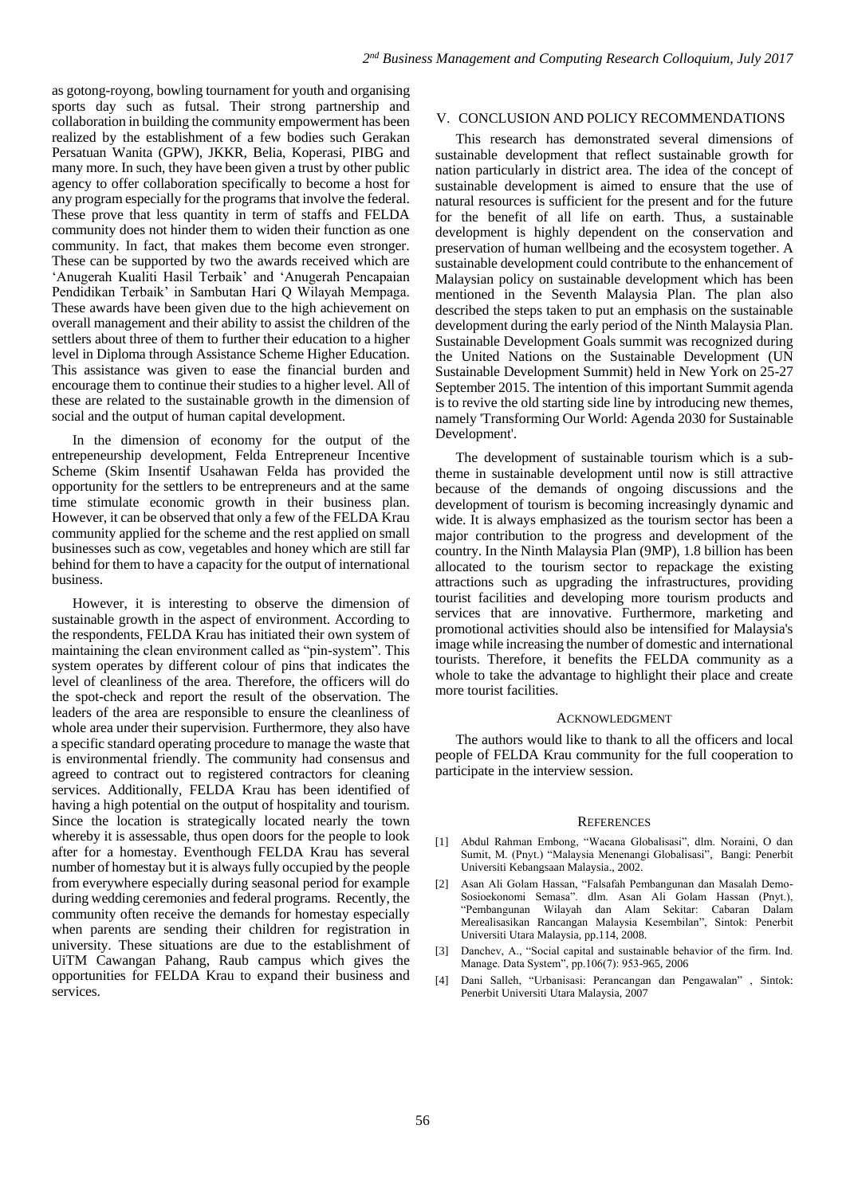as gotong-royong, bowling tournament for youth and organising sports day such as futsal. Their strong partnership and collaboration in building the community empowerment has been realized by the establishment of a few bodies such Gerakan Persatuan Wanita (GPW), JKKR, Belia, Koperasi, PIBG and many more. In such, they have been given a trust by other public agency to offer collaboration specifically to become a host for any program especially for the programs that involve the federal. These prove that less quantity in term of staffs and FELDA community does not hinder them to widen their function as one community. In fact, that makes them become even stronger. These can be supported by two the awards received which are 'Anugerah Kualiti Hasil Terbaik' and 'Anugerah Pencapaian Pendidikan Terbaik' in Sambutan Hari Q Wilayah Mempaga. These awards have been given due to the high achievement on overall management and their ability to assist the children of the settlers about three of them to further their education to a higher level in Diploma through Assistance Scheme Higher Education. This assistance was given to ease the financial burden and encourage them to continue their studies to a higher level. All of these are related to the sustainable growth in the dimension of social and the output of human capital development.

In the dimension of economy for the output of the entrepeneurship development, Felda Entrepreneur Incentive Scheme (Skim Insentif Usahawan Felda has provided the opportunity for the settlers to be entrepreneurs and at the same time stimulate economic growth in their business plan. However, it can be observed that only a few of the FELDA Krau community applied for the scheme and the rest applied on small businesses such as cow, vegetables and honey which are still far behind for them to have a capacity for the output of international business.

However, it is interesting to observe the dimension of sustainable growth in the aspect of environment. According to the respondents, FELDA Krau has initiated their own system of maintaining the clean environment called as "pin-system". This system operates by different colour of pins that indicates the level of cleanliness of the area. Therefore, the officers will do the spot-check and report the result of the observation. The leaders of the area are responsible to ensure the cleanliness of whole area under their supervision. Furthermore, they also have a specific standard operating procedure to manage the waste that is environmental friendly. The community had consensus and agreed to contract out to registered contractors for cleaning services. Additionally, FELDA Krau has been identified of having a high potential on the output of hospitality and tourism. Since the location is strategically located nearly the town whereby it is assessable, thus open doors for the people to look after for a homestay. Eventhough FELDA Krau has several number of homestay but it is always fully occupied by the people from everywhere especially during seasonal period for example during wedding ceremonies and federal programs. Recently, the community often receive the demands for homestay especially when parents are sending their children for registration in university. These situations are due to the establishment of UiTM Cawangan Pahang, Raub campus which gives the opportunities for FELDA Krau to expand their business and services.

# V. CONCLUSION AND POLICY RECOMMENDATIONS

This research has demonstrated several dimensions of sustainable development that reflect sustainable growth for nation particularly in district area. The idea of the concept of sustainable development is aimed to ensure that the use of natural resources is sufficient for the present and for the future for the benefit of all life on earth. Thus, a sustainable development is highly dependent on the conservation and preservation of human wellbeing and the ecosystem together. A sustainable development could contribute to the enhancement of Malaysian policy on sustainable development which has been mentioned in the Seventh Malaysia Plan. The plan also described the steps taken to put an emphasis on the sustainable development during the early period of the Ninth Malaysia Plan. Sustainable Development Goals summit was recognized during the United Nations on the Sustainable Development (UN Sustainable Development Summit) held in New York on 25-27 September 2015. The intention of this important Summit agenda is to revive the old starting side line by introducing new themes, namely 'Transforming Our World: Agenda 2030 for Sustainable Development'.

The development of sustainable tourism which is a subtheme in sustainable development until now is still attractive because of the demands of ongoing discussions and the development of tourism is becoming increasingly dynamic and wide. It is always emphasized as the tourism sector has been a major contribution to the progress and development of the country. In the Ninth Malaysia Plan (9MP), 1.8 billion has been allocated to the tourism sector to repackage the existing attractions such as upgrading the infrastructures, providing tourist facilities and developing more tourism products and services that are innovative. Furthermore, marketing and promotional activities should also be intensified for Malaysia's image while increasing the number of domestic and international tourists. Therefore, it benefits the FELDA community as a whole to take the advantage to highlight their place and create more tourist facilities.

#### ACKNOWLEDGMENT

The authors would like to thank to all the officers and local people of FELDA Krau community for the full cooperation to participate in the interview session.

#### **REFERENCES**

- [1] Abdul Rahman Embong, "Wacana Globalisasi", dlm. Noraini, O dan Sumit, M. (Pnyt.) "Malaysia Menenangi Globalisasi", Bangi: Penerbit Universiti Kebangsaan Malaysia., 2002.
- [2] Asan Ali Golam Hassan, "Falsafah Pembangunan dan Masalah Demo-Sosioekonomi Semasa". dlm. Asan Ali Golam Hassan (Pnyt.), "Pembangunan Wilayah dan Alam Sekitar: Cabaran Dalam Merealisasikan Rancangan Malaysia Kesembilan", Sintok: Penerbit Universiti Utara Malaysia, pp.114, 2008.
- Danchev, A., "Social capital and sustainable behavior of the firm. Ind. Manage. Data System", pp.106(7): 953-965, 2006
- [4] Dani Salleh, "Urbanisasi: Perancangan dan Pengawalan" , Sintok: Penerbit Universiti Utara Malaysia, 2007